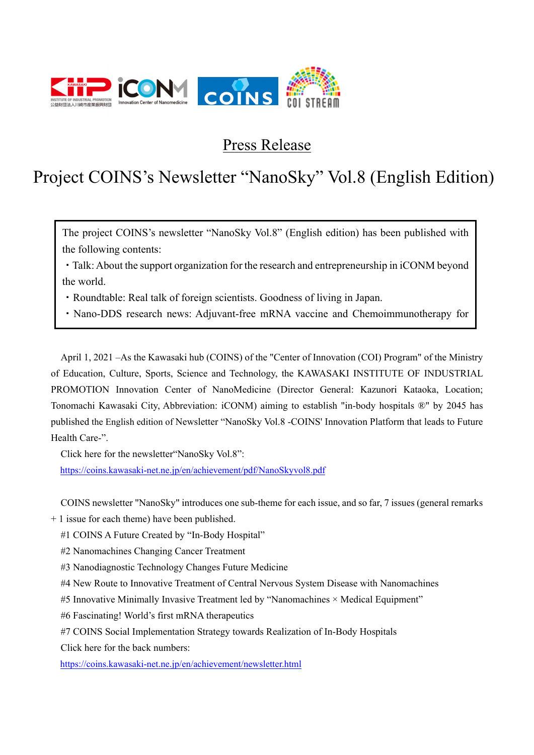

Press Release

# Project COINS's Newsletter "NanoSky" Vol.8 (English Edition)

The project COINS's newsletter "NanoSky Vol.8" (English edition) has been published with the following contents:

・Talk: About the support organization for the research and entrepreneurship in iCONM beyond the world.

・Roundtable: Real talk of foreign scientists. Goodness of living in Japan.

・Nano-DDS research news: Adjuvant-free mRNA vaccine and Chemoimmunotherapy for

April 1, 2021 –As the Kawasaki hub (COINS) of the "Center of Innovation (COI) Program" of the Ministry of Education, Culture, Sports, Science and Technology, the KAWASAKI INSTITUTE OF INDUSTRIAL PROMOTION Innovation Center of NanoMedicine (Director General: Kazunori Kataoka, Location; Tonomachi Kawasaki City, Abbreviation: iCONM) aiming to establish "in-body hospitals ®" by 2045 has published the English edition of Newsletter "NanoSky Vol.8 -COINS' Innovation Platform that leads to Future Health Care-".

Click here for the newsletter"NanoSky Vol.8":

https://coins.kawasaki-net.ne.jp/en/achievement/pdf/NanoSkyvol8.pdf

COINS newsletter "NanoSky" introduces one sub-theme for each issue, and so far, 7 issues (general remarks

+ 1 issue for each theme) have been published.

#1 COINS A Future Created by "In-Body Hospital"

#2 Nanomachines Changing Cancer Treatment

#3 Nanodiagnostic Technology Changes Future Medicine

#4 New Route to Innovative Treatment of Central Nervous System Disease with Nanomachines

#5 Innovative Minimally Invasive Treatment led by "Nanomachines × Medical Equipment"

#6 Fascinating! World's first mRNA therapeutics

#7 COINS Social Implementation Strategy towards Realization of In-Body Hospitals

Click here for the back numbers:

https://coins.kawasaki-net.ne.jp/en/achievement/newsletter.html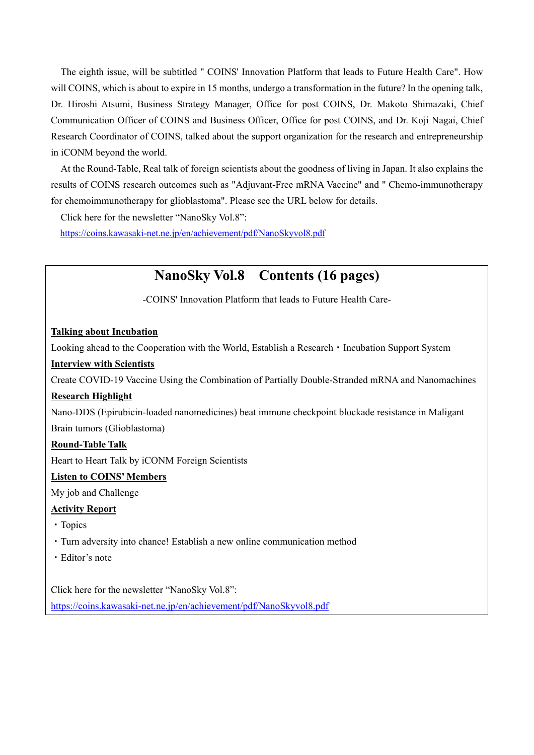The eighth issue, will be subtitled " COINS' Innovation Platform that leads to Future Health Care". How will COINS, which is about to expire in 15 months, undergo a transformation in the future? In the opening talk, Dr. Hiroshi Atsumi, Business Strategy Manager, Office for post COINS, Dr. Makoto Shimazaki, Chief Communication Officer of COINS and Business Officer, Office for post COINS, and Dr. Koji Nagai, Chief Research Coordinator of COINS, talked about the support organization for the research and entrepreneurship in iCONM beyond the world.

At the Round-Table, Real talk of foreign scientists about the goodness of living in Japan. It also explains the results of COINS research outcomes such as "Adjuvant-Free mRNA Vaccine" and " Chemo-immunotherapy for chemoimmunotherapy for glioblastoma". Please see the URL below for details.

Click here for the newsletter "NanoSky Vol.8":

https://coins.kawasaki-net.ne.jp/en/achievement/pdf/NanoSkyvol8.pdf

# **NanoSky Vol.8 Contents (16 pages)**

-COINS' Innovation Platform that leads to Future Health Care-

#### **Talking about Incubation**

Looking ahead to the Cooperation with the World, Establish a Research • Incubation Support System

#### **Interview with Scientists**

Create COVID-19 Vaccine Using the Combination of Partially Double-Stranded mRNA and Nanomachines

#### **Research Highlight**

Nano-DDS (Epirubicin-loaded nanomedicines) beat immune checkpoint blockade resistance in Maligant Brain tumors (Glioblastoma)

#### **Round-Table Talk**

Heart to Heart Talk by iCONM Foreign Scientists

#### **Listen to COINS' Members**

My job and Challenge

#### **Activity Report**

- ・Topics
- ・Turn adversity into chance! Establish a new online communication method
- ・Editor's note

Click here for the newsletter "NanoSky Vol.8":

https://coins.kawasaki-net.ne.jp/en/achievement/pdf/NanoSkyvol8.pdf